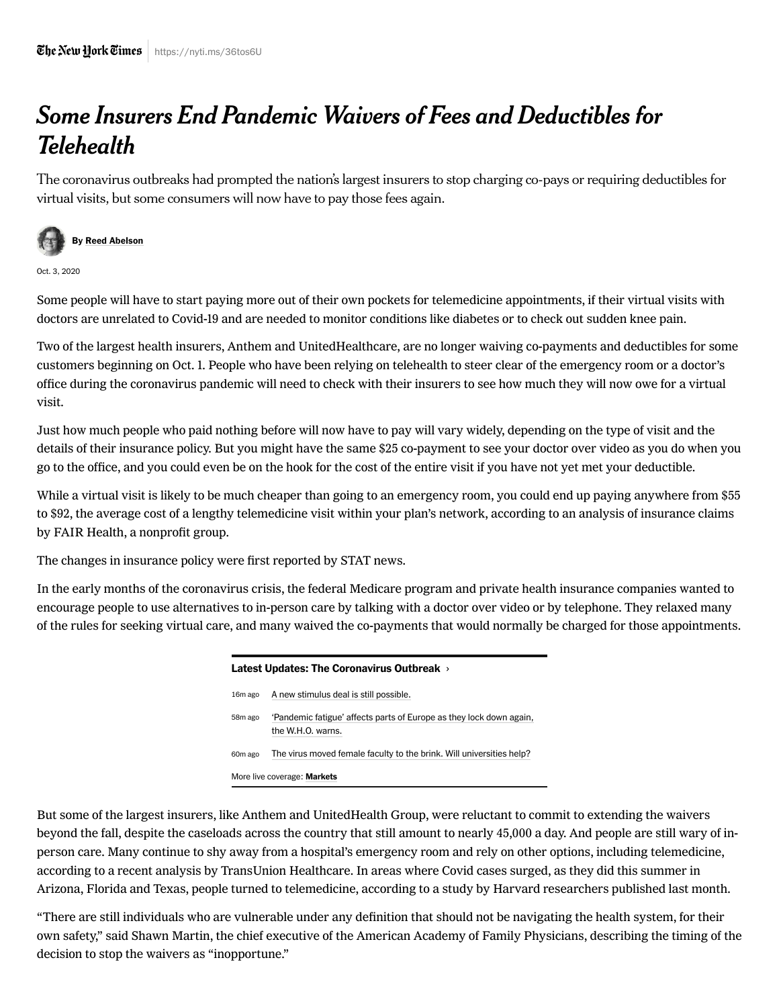## Some Insurers End Pandemic Waivers of Fees and Deductibles for Telehealth

The coronavirus outbreaks had prompted the nation's largest insurers to stop charging co-pays or requiring deductibles for virtual visits, but some consumers will now have to pay those fees again.



Oct. 3, 2020

Some people will have to start paying more out of their own pockets for telemedicine appointments, if their virtual visits with doctors are unrelated to Covid-19 and are needed to monitor conditions like diabetes or to check out sudden knee pain.

Two of the largest health insurers, Anthem and UnitedHealthcare, are no longer waiving co-payments and deductibles for some customers beginning on Oct. 1. People who have been relying on telehealth to steer clear of the emergency room or a doctor's office during the coronavirus pandemic will need to check with their insurers to see how much they will now owe for a virtual visit.

Just how much people who paid nothing before will now have to pay will vary widely, depending on the type of visit and the details of their insurance policy. But you might have the same \$25 co-payment to see your doctor over video as you do when you go to the office, and you could even be on the hook for the cost of the entire visit if you have not yet met your deductible.

While a virtual visit is likely to be much cheaper than going to an emergency room, you could end up paying anywhere from \$55 to \$92, the average cost of a lengthy telemedicine visit within your plan's network, according to an analysis of insurance claims by FAIR Health, a nonprofit group.

The [changes](https://www.statnews.com/2020/09/29/united-healthcare-anthem-telemedicine-coverage-insurers/) in insurance policy were first reported by STAT news.

In the early months of the coronavirus crisis, the federal Medicare program and private health insurance companies wanted to encourage people to use alternatives to in-person care by talking with a doctor over video or by telephone. They relaxed many of the rules for seeking virtual care, and many waived the co-payments that would normally be charged for those appointments.

| Latest Updates: The Coronavirus Outbreak > |                                                                                          |
|--------------------------------------------|------------------------------------------------------------------------------------------|
| 16 <sub>m</sub> ago                        | A new stimulus deal is still possible.                                                   |
| 58m ago                                    | 'Pandemic fatigue' affects parts of Europe as they lock down again,<br>the W.H.O. warns. |
| 60 <sub>m</sub> ago                        | The virus moved female faculty to the brink. Will universities help?                     |
| More live coverage: <b>Markets</b>         |                                                                                          |

[But some of the largest insurers, like Anthem and UnitedHealth Group, were reluctant to commit to extending the waivers](https://www.nytimes.com/2020/08/03/health/covid-telemedicine-congress.html) beyond the fall, despite the caseloads across the country that still amount to nearly 45,000 a day. And people are still wary of inperson care. Many continue to shy away from a hospital's emergency room and rely on other options, including telemedicine, according to [a recent analysis](https://www.globenewswire.com/news-release/2020/09/15/2093664/0/en/Ongoing-COVID-19-Challenges-Stagnate-Hospital-Visit-Recovery.html) by TransUnion Healthcare. In areas where Covid cases surged, as they did this summer in Arizona, Florida and Texas, people turned to telemedicine, [according to a study](https://www.commonwealthfund.org/publications/2020/aug/impact-covid-19-pandemic-outpatient-visits-changing-patterns-care-newest) by Harvard researchers published last month.

"There are still individuals who are vulnerable under any definition that should not be navigating the health system, for their own safety," said Shawn Martin, the chief executive of the American Academy of Family Physicians, describing the timing of the decision to stop the waivers as "inopportune."